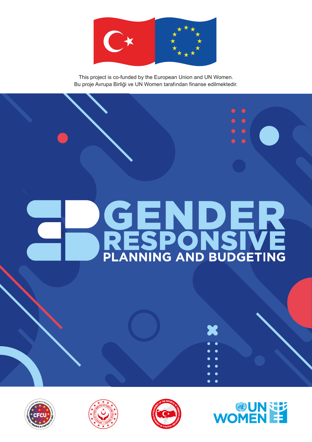

This project is co-funded by the European Union and UN Women. Bu proje Avrupa Birliği ve UN Women tarafından finanse edilmektedir.

# 8 RESPONSIVE







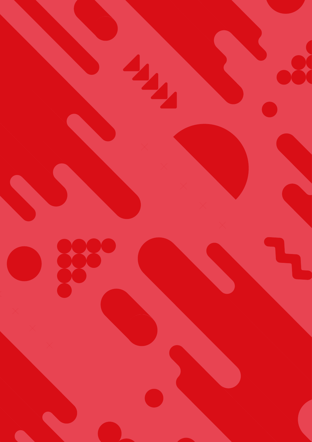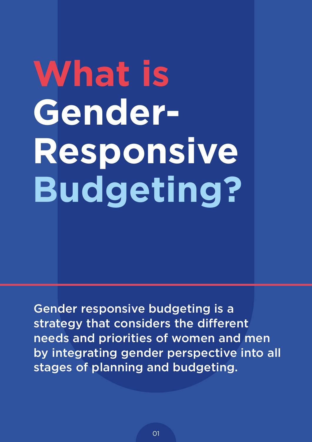# **What is Gender-Responsive Budgeting?**

Gender responsive budgeting is a strategy that considers the different needs and priorities of women and men by integrating gender perspective into all stages of planning and budgeting.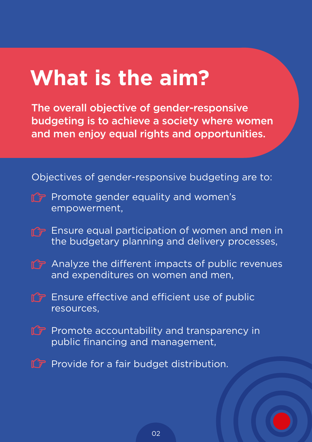# **What is the aim? What is the aim?**

budgeting is to achieve a society where women and men enjoy equal rights and opportunities. ve özgürlüklere sahip olduğu bir toplum"dur. The overall objective of gender-responsive

Objectives of gender-responsive budgeting are to:

- ि Promote gender equality and women's empowerment,
- **FF** Ensure equal participation of women and men in the budgetary planning and delivery processes,
- $\mathbb{F}$  Analyze the different impacts of public revenues and expenditures on women and men,
- $\mathbb{F}$  Ensure effective and efficient use of public resources,
- $\square$  Promote accountability and transparency in public financing and management,
- $F$  Provide for a fair budget distribution.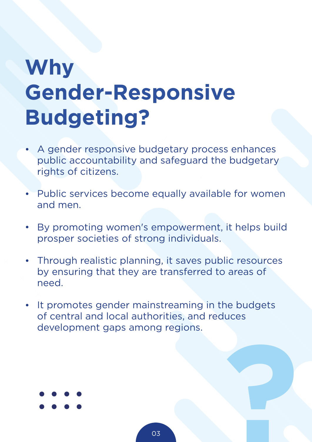# **Why Gender-Responsive Budgeting?**

- A gender responsive budgetary process enhances public accountability and safeguard the budgetary rights of citizens. •
- Public services become equally available for women and men. •
- By promoting women's empowerment, it helps build prosper societies of strong individuals. •
- Through realistic planning, it saves public resources by ensuring that they are transferred to areas of need. •
- It promotes gender mainstreaming in the budgets of central and local authorities, and reduces development gaps among regions. •

**?**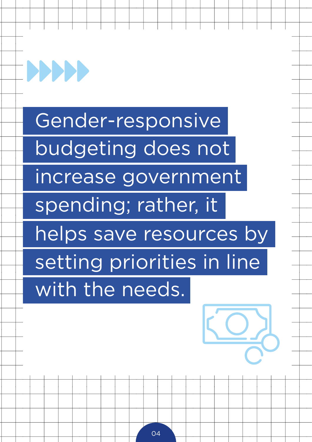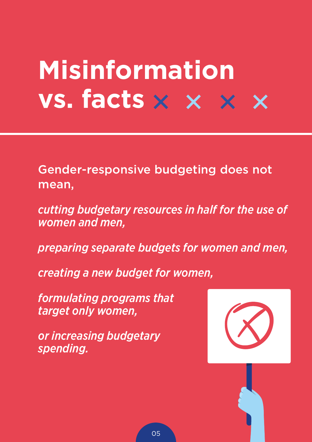# **Misinformation vs. facts**

Gender-responsive budgeting does not mean,

*cutting budgetary resources in half for the use of women and men,*

*preparing separate budgets for women and men,* 

*creating a new budget for women,*

*formulating programs that target only women,*

*or increasing budgetary spending.*

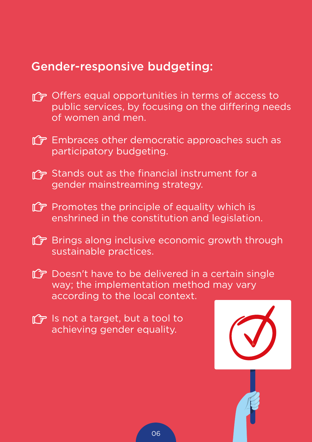## Gender-responsive budgeting:

- n→ Offers equal opportunities in terms of access to public services, by focusing on the differing needs of women and men.
- $\mathbb{F}$  Embraces other democratic approaches such as participatory budgeting.
- **∩** Stands out as the financial instrument for a gender mainstreaming strategy.
- **Promotes the principle of equality which is** enshrined in the constitution and legislation.
- $F$  Brings along inclusive economic growth through sustainable practices.
- ।  $\mathbb{F}$  Doesn't have to be delivered in a certain single way; the implementation method may vary according to the local context.
- If  $\mathcal{F}$  is not a target, but a tool to achieving gender equality.

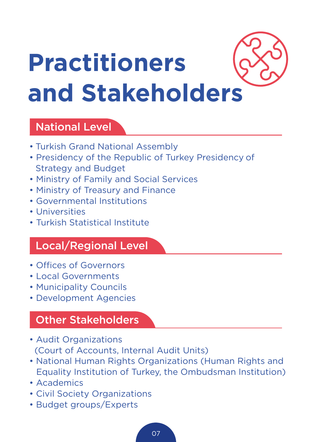

# **Practitioners and Stakeholders**

## National Level

- Turkish Grand National Assembly
- Presidency of the Republic of Turkey Presidency of Strategy and Budget
- Ministry of Family and Social Services
- Ministry of Treasury and Finance
- Governmental Institutions
- Universities
- Turkish Statistical Institute

## Local/Regional Level

- Offices of Governors
- Local Governments
- Municipality Councils
- Development Agencies

## Other Stakeholders

- Audit Organizations (Court of Accounts, Internal Audit Units)
- National Human Rights Organizations (Human Rights and Equality Institution of Turkey, the Ombudsman Institution)
- Academics
- Civil Society Organizations
- Budget groups/Experts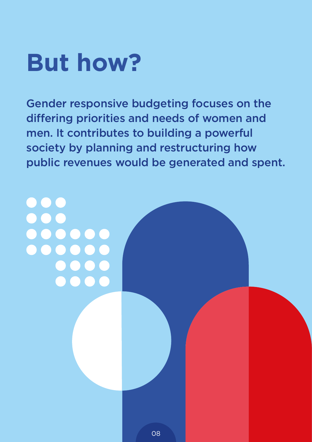# **But how?**

Gender responsive budgeting focuses on the differing priorities and needs of women and men. It contributes to building a powerful society by planning and restructuring how public revenues would be generated and spent.

# 08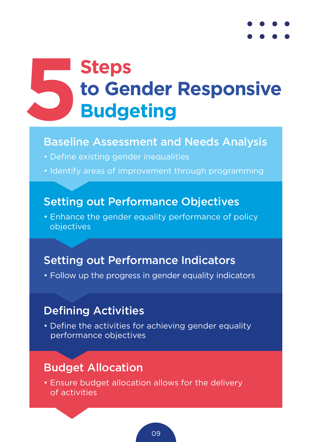

# **Steps to Gender Responsive Budgeting 5**

## Baseline Assessment and Needs Analysis

- Define existing gender inequalities
- Identify areas of improvement through programming

## Setting out Performance Objectives

• Enhance the gender equality performance of policy objectives

## Setting out Performance Indicators

• Follow up the progress in gender equality indicators

## Defining Activities

• Define the activities for achieving gender equality performance objectives

## Budget Allocation

• Ensure budget allocation allows for the delivery of activities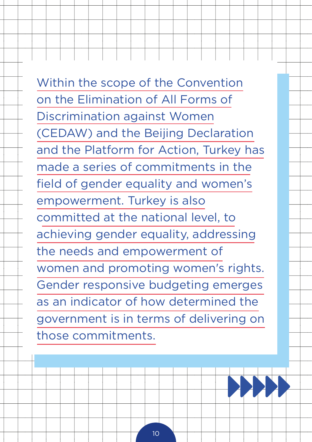Within the scope of the Convention on the Elimination of All Forms of Discrimination against Women (CEDAW) and the Beijing Declaration and the Platform for Action, Turkey has made a series of commitments in the field of gender equality and women's empowerment. Turkey is also committed at the national level, to achieving gender equality, addressing the needs and empowerment of women and promoting women's rights. Gender responsive budgeting emerges as an indicator of how determined the government is in terms of delivering on those commitments.

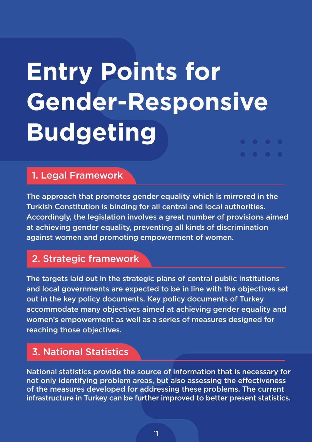# **Entry Points for Gender-Responsive Budgeting**

### 1. Legal Framework

The approach that promotes gender equality which is mirrored in the Turkish Constitution is binding for all central and local authorities. Accordingly, the legislation involves a great number of provisions aimed at achieving gender equality, preventing all kinds of discrimination against women and promoting empowerment of women.

## 2. Strategic framework

The targets laid out in the strategic plans of central public institutions and local governments are expected to be in line with the objectives set out in the key policy documents. Key policy documents of Turkey accommodate many objectives aimed at achieving gender equality and women's empowerment as well as a series of measures designed for reaching those objectives.

## 3. National Statistics

National statistics provide the source of information that is necessary for not only identifying problem areas, but also assessing the effectiveness of the measures developed for addressing these problems. The current infrastructure in Turkey can be further improved to better present statistics.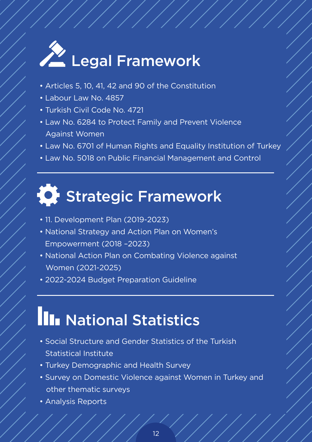

- Articles 5, 10, 41, 42 and 90 of the Constitution
- Labour Law No. 4857
- Turkish Civil Code No. 4721
- Law No. 6284 to Protect Family and Prevent Violence Against Women
- Law No. 6701 of Human Rights and Equality Institution of Turkey
- Law No. 5018 on Public Financial Management and Control

# Strategic Framework

- 11. Development Plan (2019-2023)
- National Strategy and Action Plan on Women's Empowerment (2018 –2023)
- National Action Plan on Combating Violence against Women (2021-2025)
- 2022-2024 Budget Preparation Guideline

# **National Statistics**

- Social Structure and Gender Statistics of the Turkish Statistical Institute
- Turkey Demographic and Health Survey
- Survey on Domestic Violence against Women in Turkey and other thematic surveys
- Analysis Reports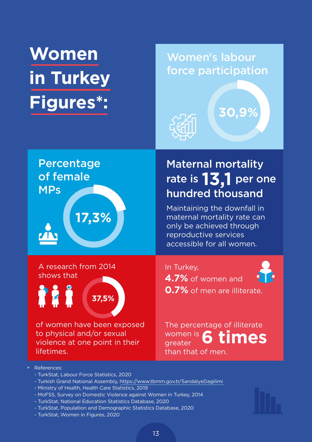# **Women in Turkey Figures\*:**

## Women's labour force participation

Percentage of female MPs

A research from 2014 shows that

ri î

**37,5%**

of women have been exposed to physical and/or sexual violence at one point in their lifetimes.

**17,3%**

# Maternal mortality rate is  $\textbf{13,1}$  per one hundred thousand

**30,9%**

Maintaining the downfall in maternal mortality rate can only be achieved through reproductive services accessible for all women.

In Turkey, **4.7%** of women and **0.7%** of men are illiterate.



The percentage of illiterate women is **C** greater than that of men. **6 times**

#### References: \*

- TurkStat, Labour Force Statistics, 2020
- Turkish Grand National Assembly, https://www.tbmm.gov.tr/SandalyeDagilimi
- Ministry of Health, Health Care Statistics, 2019
- MoFSS, Survey on Domestic Violence against Women in Turkey, 2014
- TurkStat, National Education Statistics Database, 2020
- TurkStat, Population and Demographic Statistics Database, 2020
- TurkStat, Women in Figures, 2020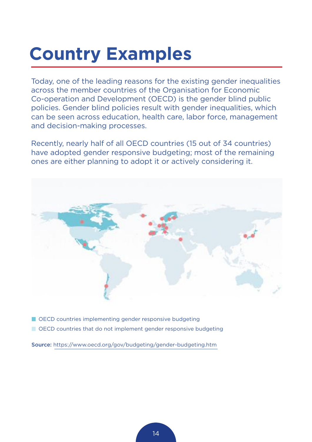# **Country Examples**

Today, one of the leading reasons for the existing gender inequalities across the member countries of the Organisation for Economic Co-operation and Development (OECD) is the gender blind public policies. Gender blind policies result with gender inequalities, which can be seen across education, health care, labor force, management and decision-making processes.

Recently, nearly half of all OECD countries (15 out of 34 countries) have adopted gender responsive budgeting; most of the remaining ones are either planning to adopt it or actively considering it.



- OECD countries implementing gender responsive budgeting
- OECD countries that do not implement gender responsive budgeting

Source: https://www.oecd.org/gov/budgeting/gender-budgeting.htm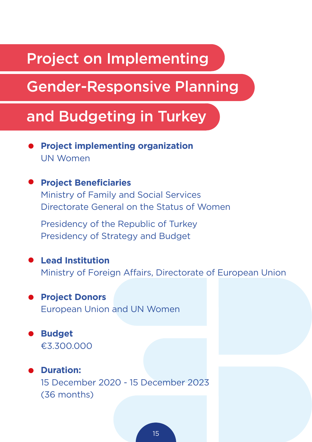# Project on Implementing

# Gender-Responsive Planning

# and Budgeting in Turkey

- **Project implementing organization** UN Women
- **Project Beneficiaries** Ministry of Family and Social Services Directorate General on the Status of Women

Presidency of the Republic of Turkey Presidency of Strategy and Budget

- **Lead Institution** Ministry of Foreign Affairs, Directorate of European Union
- **Project Donors** European Union and UN Women
- **Budget** €3.300.000

#### **Duration:**

15 December 2020 - 15 December 2023 (36 months)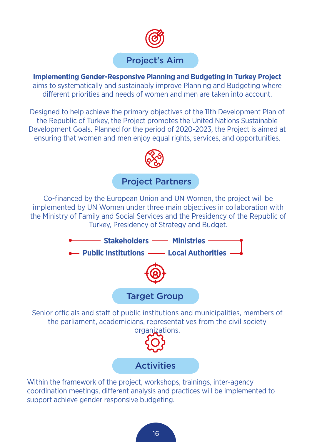

**Implementing Gender-Responsive Planning and Budgeting in Turkey Project**  aims to systematically and sustainably improve Planning and Budgeting where different priorities and needs of women and men are taken into account.

Designed to help achieve the primary objectives of the 11th Development Plan of the Republic of Turkey, the Project promotes the United Nations Sustainable Development Goals. Planned for the period of 2020-2023, the Project is aimed at ensuring that women and men enjoy equal rights, services, and opportunities.



Project Partners

Co-financed by the European Union and UN Women, the project will be implemented by UN Women under three main objectives in collaboration with the Ministry of Family and Social Services and the Presidency of the Republic of Turkey, Presidency of Strategy and Budget.



coordination meetings, different analysis and practices will be implemented to support achieve gender responsive budgeting.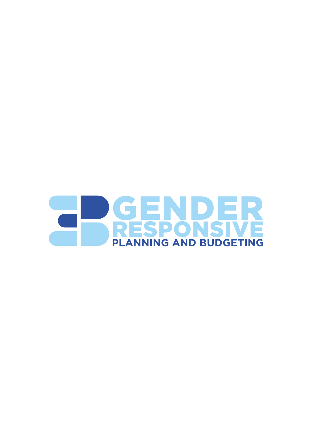